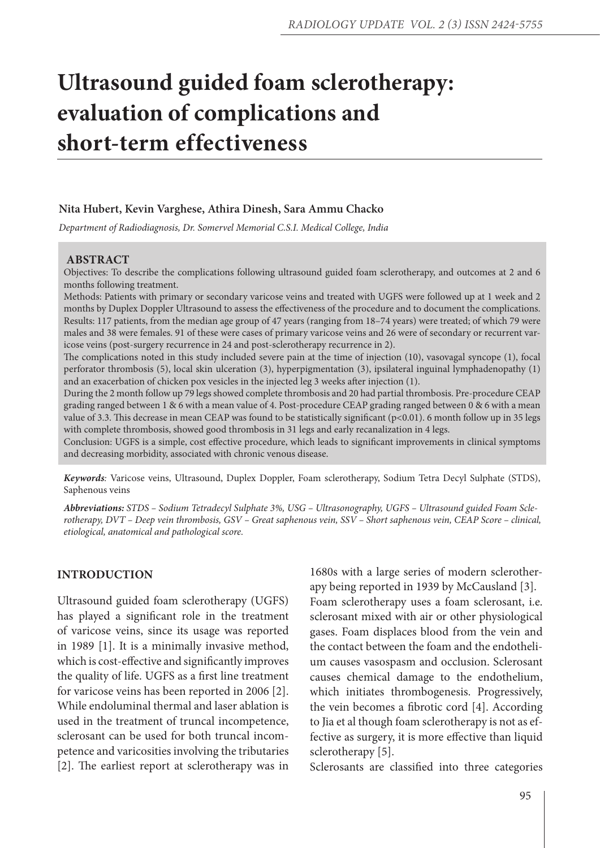# **Ultrasound guided foam sclerotherapy: evaluation of complications and short-term effectiveness**

## **Nita Hubert, Kevin Varghese, Athira Dinesh, Sara Ammu Chacko**

*Department of Radiodiagnosis, Dr. Somervel Memorial C.S.I. Medical College, India*

### **ABSTRACT**

Objectives: To describe the complications following ultrasound guided foam sclerotherapy, and outcomes at 2 and 6 months following treatment.

Methods: Patients with primary or secondary varicose veins and treated with UGFS were followed up at 1 week and 2 months by Duplex Doppler Ultrasound to assess the effectiveness of the procedure and to document the complications. Results: 117 patients, from the median age group of 47 years (ranging from 18–74 years) were treated; of which 79 were males and 38 were females. 91 of these were cases of primary varicose veins and 26 were of secondary or recurrent varicose veins (post-surgery recurrence in 24 and post-sclerotherapy recurrence in 2).

The complications noted in this study included severe pain at the time of injection (10), vasovagal syncope (1), focal perforator thrombosis (5), local skin ulceration (3), hyperpigmentation (3), ipsilateral inguinal lymphadenopathy (1) and an exacerbation of chicken pox vesicles in the injected leg 3 weeks after injection (1).

During the 2 month follow up 79 legs showed complete thrombosis and 20 had partial thrombosis. Pre-procedure CEAP grading ranged between 1 & 6 with a mean value of 4. Post-procedure CEAP grading ranged between 0 & 6 with a mean value of 3.3. This decrease in mean CEAP was found to be statistically significant (p<0.01). 6 month follow up in 35 legs with complete thrombosis, showed good thrombosis in 31 legs and early recanalization in 4 legs.

Conclusion: UGFS is a simple, cost effective procedure, which leads to significant improvements in clinical symptoms and decreasing morbidity, associated with chronic venous disease.

*Keywords:* Varicose veins, Ultrasound, Duplex Doppler, Foam sclerotherapy, Sodium Tetra Decyl Sulphate (STDS), Saphenous veins

*Abbreviations: STDS – Sodium Tetradecyl Sulphate 3%, USG – Ultrasonography, UGFS – Ultrasound guided Foam Sclerotherapy, DVT – Deep vein thrombosis, GSV – Great saphenous vein, SSV – Short saphenous vein, CEAP Score – clinical, etiological, anatomical and pathological score.*

## **INTRODUCTION**

Ultrasound guided foam sclerotherapy (UGFS) has played a significant role in the treatment of varicose veins, since its usage was reported in 1989 [1]. It is a minimally invasive method, which is cost-effective and significantly improves the quality of life. UGFS as a first line treatment for varicose veins has been reported in 2006 [2]. While endoluminal thermal and laser ablation is used in the treatment of truncal incompetence, sclerosant can be used for both truncal incompetence and varicosities involving the tributaries [2]. The earliest report at sclerotherapy was in 1680s with a large series of modern sclerotherapy being reported in 1939 by McCausland [3]. Foam sclerotherapy uses a foam sclerosant, i.e. sclerosant mixed with air or other physiological gases. Foam displaces blood from the vein and the contact between the foam and the endothelium causes vasospasm and occlusion. Sclerosant causes chemical damage to the endothelium, which initiates thrombogenesis. Progressively, the vein becomes a fibrotic cord [4]. According to Jia et al though foam sclerotherapy is not as effective as surgery, it is more effective than liquid sclerotherapy [5].

Sclerosants are classified into three categories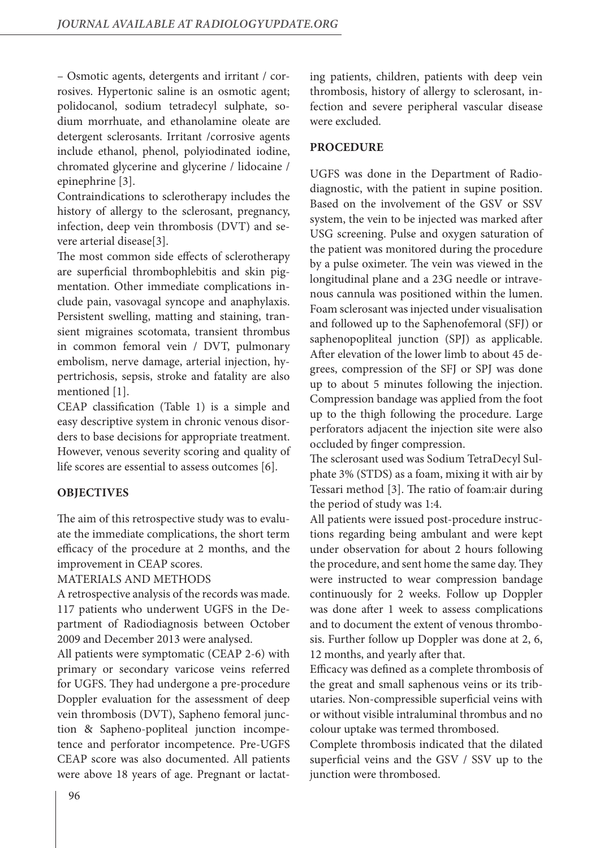– Osmotic agents, detergents and irritant / corrosives. Hypertonic saline is an osmotic agent; polidocanol, sodium tetradecyl sulphate, sodium morrhuate, and ethanolamine oleate are detergent sclerosants. Irritant /corrosive agents include ethanol, phenol, polyiodinated iodine, chromated glycerine and glycerine / lidocaine / epinephrine [3].

Contraindications to sclerotherapy includes the history of allergy to the sclerosant, pregnancy, infection, deep vein thrombosis (DVT) and severe arterial disease[3].

The most common side effects of sclerotherapy are superficial thrombophlebitis and skin pigmentation. Other immediate complications include pain, vasovagal syncope and anaphylaxis. Persistent swelling, matting and staining, transient migraines scotomata, transient thrombus in common femoral vein / DVT, pulmonary embolism, nerve damage, arterial injection, hypertrichosis, sepsis, stroke and fatality are also mentioned [1].

CEAP classification (Table 1) is a simple and easy descriptive system in chronic venous disorders to base decisions for appropriate treatment. However, venous severity scoring and quality of life scores are essential to assess outcomes [6].

## **OBJECTIVES**

The aim of this retrospective study was to evaluate the immediate complications, the short term efficacy of the procedure at 2 months, and the improvement in CEAP scores.

## MATERIALS AND METHODS

A retrospective analysis of the records was made. 117 patients who underwent UGFS in the Department of Radiodiagnosis between October 2009 and December 2013 were analysed.

All patients were symptomatic (CEAP 2-6) with primary or secondary varicose veins referred for UGFS. They had undergone a pre-procedure Doppler evaluation for the assessment of deep vein thrombosis (DVT), Sapheno femoral junction & Sapheno-popliteal junction incompetence and perforator incompetence. Pre-UGFS CEAP score was also documented. All patients were above 18 years of age. Pregnant or lactating patients, children, patients with deep vein thrombosis, history of allergy to sclerosant, infection and severe peripheral vascular disease were excluded.

## **PROCEDURE**

UGFS was done in the Department of Radiodiagnostic, with the patient in supine position. Based on the involvement of the GSV or SSV system, the vein to be injected was marked after USG screening. Pulse and oxygen saturation of the patient was monitored during the procedure by a pulse oximeter. The vein was viewed in the longitudinal plane and a 23G needle or intravenous cannula was positioned within the lumen. Foam sclerosant was injected under visualisation and followed up to the Saphenofemoral (SFJ) or saphenopopliteal junction (SPJ) as applicable. After elevation of the lower limb to about 45 degrees, compression of the SFJ or SPJ was done up to about 5 minutes following the injection. Compression bandage was applied from the foot up to the thigh following the procedure. Large perforators adjacent the injection site were also occluded by finger compression.

The sclerosant used was Sodium TetraDecyl Sulphate 3% (STDS) as a foam, mixing it with air by Tessari method [3]. The ratio of foam:air during the period of study was 1:4.

All patients were issued post-procedure instructions regarding being ambulant and were kept under observation for about 2 hours following the procedure, and sent home the same day. They were instructed to wear compression bandage continuously for 2 weeks. Follow up Doppler was done after 1 week to assess complications and to document the extent of venous thrombosis. Further follow up Doppler was done at 2, 6, 12 months, and yearly after that.

Efficacy was defined as a complete thrombosis of the great and small saphenous veins or its tributaries. Non-compressible superficial veins with or without visible intraluminal thrombus and no colour uptake was termed thrombosed.

Complete thrombosis indicated that the dilated superficial veins and the GSV / SSV up to the junction were thrombosed.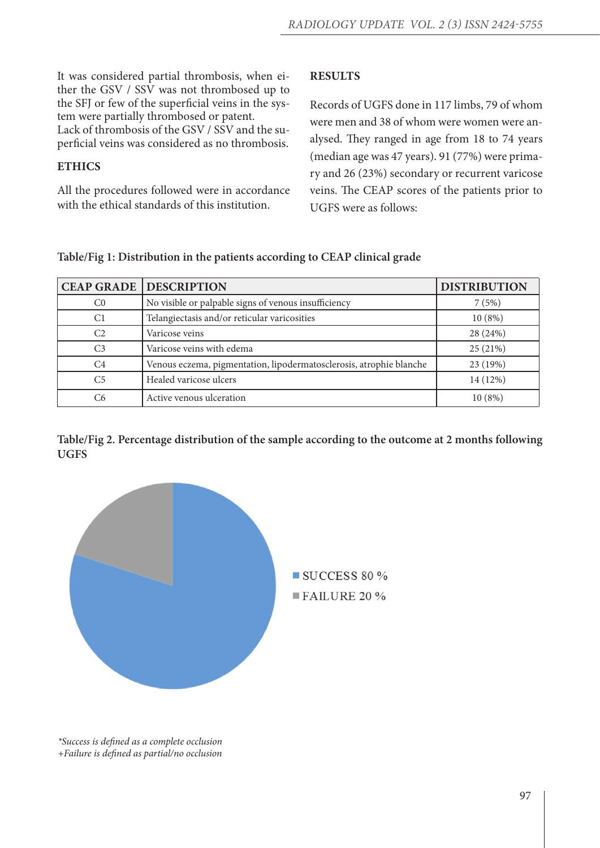It was considered partial thrombosis, when either the GSV / SSV was not thrombosed up to the SFJ or few of the superficial veins in the system were partially thrombosed or patent. Lack of thrombosis of the GSV / SSV and the superficial veins was considered as no thrombosis.

## **ETHICS**

All the procedures followed were in accordance with the ethical standards of this institution.

## **RESULTS**

Records of UGFS done in 117 limbs, 79 of whom were men and 38 of whom were women were analysed. They ranged in age from 18 to 74 years (median age was 47 years). 91 (77%) were primary and 26 (23%) secondary or recurrent varicose veins. The CEAP scores of the patients prior to UGFS were as follows:

|                | <b>CEAP GRADE   DESCRIPTION</b>                                     | <b>DISTRIBUTION</b> |
|----------------|---------------------------------------------------------------------|---------------------|
| C <sub>0</sub> | No visible or palpable signs of venous insufficiency                | 7(5%)               |
| C1             | Telangiectasis and/or reticular varicosities                        | 10(8%)              |
| C <sub>2</sub> | Varicose veins                                                      | 28 (24%)            |
| C <sub>3</sub> | Varicose veins with edema                                           | 25(21%)             |
| C <sub>4</sub> | Venous eczema, pigmentation, lipodermatosclerosis, atrophie blanche | 23 (19%)            |
| C <sub>5</sub> | Healed varicose ulcers                                              | 14 (12%)            |
| C6             | Active venous ulceration                                            | 10(8%)              |

**Table/Fig 1: Distribution in the patients according to CEAP clinical grade**

**Table/Fig 2. Percentage distribution of the sample according to the outcome at 2 months following UGFS**



*\*Success is defined as a complete occlusion +Failure is defined as partial/no occlusion*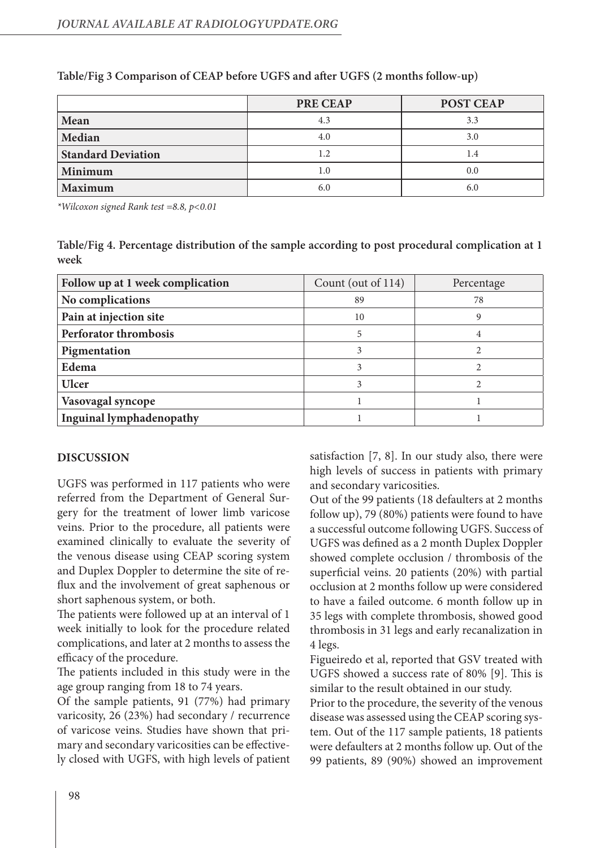|                           | <b>PRE CEAP</b> | POST CEAP |
|---------------------------|-----------------|-----------|
| Mean                      | 4.3             | 3.3       |
| Median                    | 4.0             | 3.0       |
| <b>Standard Deviation</b> | 1.2             | 1.4       |
| Minimum                   | 1.0             | 0.0       |
| <b>Maximum</b>            | 6.0             | 6.0       |

## **Table/Fig 3 Comparison of CEAP before UGFS and after UGFS (2 months follow-up)**

*\*Wilcoxon signed Rank test =8.8, p<0.01*

**Table/Fig 4. Percentage distribution of the sample according to post procedural complication at 1 week**

| Follow up at 1 week complication | Count (out of 114) | Percentage |
|----------------------------------|--------------------|------------|
| No complications                 | 89                 | 78         |
| Pain at injection site           | 10                 |            |
| <b>Perforator thrombosis</b>     | 5                  |            |
| Pigmentation                     |                    |            |
| Edema                            |                    |            |
| <b>Ulcer</b>                     | 3                  |            |
| Vasovagal syncope                |                    |            |
| <b>Inguinal lymphadenopathy</b>  |                    |            |

## **DISCUSSION**

UGFS was performed in 117 patients who were referred from the Department of General Surgery for the treatment of lower limb varicose veins. Prior to the procedure, all patients were examined clinically to evaluate the severity of the venous disease using CEAP scoring system and Duplex Doppler to determine the site of reflux and the involvement of great saphenous or short saphenous system, or both.

The patients were followed up at an interval of 1 week initially to look for the procedure related complications, and later at 2 months to assess the efficacy of the procedure.

The patients included in this study were in the age group ranging from 18 to 74 years.

Of the sample patients, 91 (77%) had primary varicosity, 26 (23%) had secondary / recurrence of varicose veins. Studies have shown that primary and secondary varicosities can be effectively closed with UGFS, with high levels of patient satisfaction [7, 8]. In our study also, there were high levels of success in patients with primary and secondary varicosities.

Out of the 99 patients (18 defaulters at 2 months follow up), 79 (80%) patients were found to have a successful outcome following UGFS. Success of UGFS was defined as a 2 month Duplex Doppler showed complete occlusion / thrombosis of the superficial veins. 20 patients (20%) with partial occlusion at 2 months follow up were considered to have a failed outcome. 6 month follow up in 35 legs with complete thrombosis, showed good thrombosis in 31 legs and early recanalization in 4 legs.

Figueiredo et al, reported that GSV treated with UGFS showed a success rate of 80% [9]. This is similar to the result obtained in our study.

Prior to the procedure, the severity of the venous disease was assessed using the CEAP scoring system. Out of the 117 sample patients, 18 patients were defaulters at 2 months follow up. Out of the 99 patients, 89 (90%) showed an improvement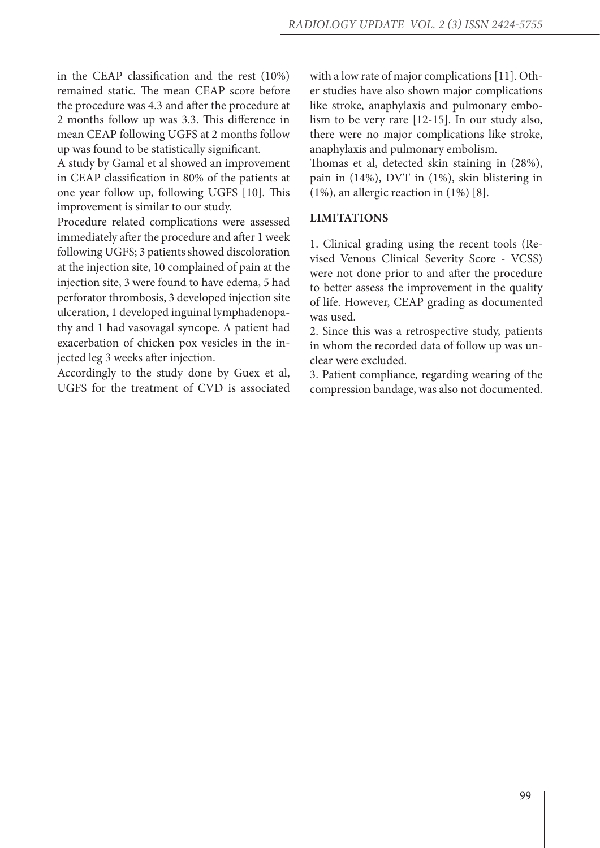in the CEAP classification and the rest (10%) remained static. The mean CEAP score before the procedure was 4.3 and after the procedure at 2 months follow up was 3.3. This difference in mean CEAP following UGFS at 2 months follow up was found to be statistically significant.

A study by Gamal et al showed an improvement in CEAP classification in 80% of the patients at one year follow up, following UGFS [10]. This improvement is similar to our study.

Procedure related complications were assessed immediately after the procedure and after 1 week following UGFS; 3 patients showed discoloration at the injection site, 10 complained of pain at the injection site, 3 were found to have edema, 5 had perforator thrombosis, 3 developed injection site ulceration, 1 developed inguinal lymphadenopathy and 1 had vasovagal syncope. A patient had exacerbation of chicken pox vesicles in the injected leg 3 weeks after injection.

Accordingly to the study done by Guex et al, UGFS for the treatment of CVD is associated with a low rate of major complications [11]. Other studies have also shown major complications like stroke, anaphylaxis and pulmonary embolism to be very rare [12-15]. In our study also, there were no major complications like stroke, anaphylaxis and pulmonary embolism.

Thomas et al, detected skin staining in (28%), pain in (14%), DVT in (1%), skin blistering in (1%), an allergic reaction in (1%) [8].

### **LIMITATIONS**

1. Clinical grading using the recent tools (Revised Venous Clinical Severity Score - VCSS) were not done prior to and after the procedure to better assess the improvement in the quality of life. However, CEAP grading as documented was used.

2. Since this was a retrospective study, patients in whom the recorded data of follow up was unclear were excluded.

3. Patient compliance, regarding wearing of the compression bandage, was also not documented.